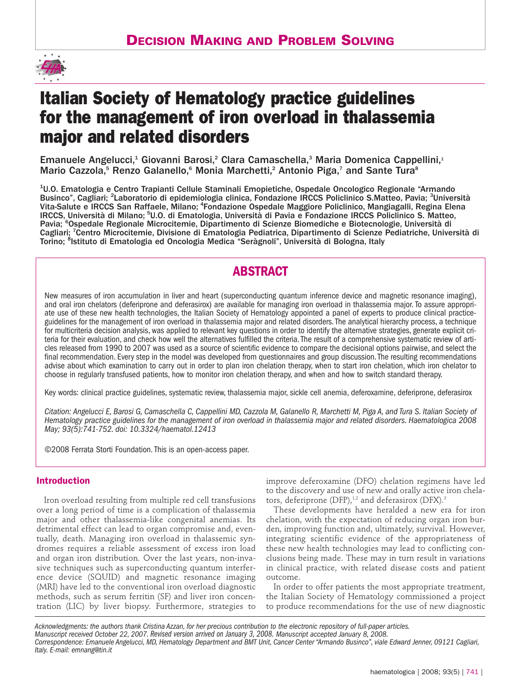

# **Italian Society of Hematology practice guidelines for the management of iron overload in thalassemia major and related disorders**

Emanuele Angelucci,<sup>1</sup> Giovanni Barosi,<sup>2</sup> Clara Camaschella,<sup>3</sup> Maria Domenica Cappellini,<sup>1</sup> Mario Cazzola,<sup>5</sup> Renzo Galanello,<sup>6</sup> Monia Marchetti,<sup>2</sup> Antonio Piga,<sup>7</sup> and Sante Tura<sup>8</sup>

<sup>1</sup>U.O. Ematologia e Centro Trapianti Cellule Staminali Emopietiche, Ospedale Oncologico Regionale "Armando Businco", Cagliari; <sup>2</sup>Laboratorio di epidemiologia clinica, Fondazione IRCCS Policlinico S.Matteo, Pavia; <sup>3</sup>Università Vita-Salute e IRCCS San Raffaele, Milano; <sup>4</sup>Fondazione Ospedale Maggiore Policlinico, Mangiagalli, Regina Elena IRCCS, Università di Milano; <sup>5</sup>U.O. di Ematologia, Università di Pavia e Fondazione IRCCS Policlinico S. Matteo, Pavia; <sup>6</sup>Ospedale Regionale Microcitemie, Dipartimento di Scienze Biomediche e Biotecnologie, Università di Cagliari; <sup>7</sup>Centro Microcitemie, Divisione di Ematologia Pediatrica, Dipartimento di Scienze Pediatriche, Università di Torino; <sup>8</sup>lstituto di Ematologia ed Oncologia Medica "Seràgnoli", Università di Bologna, Italy

# **ABSTRACT**

New measures of iron accumulation in liver and heart (superconducting quantum inference device and magnetic resonance imaging), and oral iron chelators (deferiprone and deferasirox) are available for managing iron overload in thalassemia major. To assure appropriate use of these new health technologies, the Italian Society of Hematology appointed a panel of experts to produce clinical practiceguidelines for the management of iron overload in thalassemia major and related disorders. The analytical hierarchy process, a technique for multicriteria decision analysis, was applied to relevant key questions in order to identify the alternative strategies, generate explicit criteria for their evaluation, and check how well the alternatives fulfilled the criteria. The result of a comprehensive systematic review of articles released from 1990 to 2007 was used as a source of scientific evidence to compare the decisional options pairwise, and select the final recommendation. Every step in the model was developed from questionnaires and group discussion. The resulting recommendations advise about which examination to carry out in order to plan iron chelation therapy, when to start iron chelation, which iron chelator to choose in regularly transfused patients, how to monitor iron chelation therapy, and when and how to switch standard therapy.

Key words: clinical practice guidelines, systematic review, thalassemia major, sickle cell anemia, deferoxamine, deferiprone, deferasirox

*Citation: Angelucci E, Barosi G, Camaschella C, Cappellini MD, Cazzola M, Galanello R, Marchetti M, Piga A, and Tura S. Italian Society of Hematology practice guidelines for the management of iron overload in thalassemia major and related disorders. Haematologica 2008 May; 93(5):741-752. doi: 10.3324/haematol.12413*

©2008 Ferrata Storti Foundation. This is an open-access paper.

# **Introduction**

Iron overload resulting from multiple red cell transfusions over a long period of time is a complication of thalassemia major and other thalassemia-like congenital anemias. Its detrimental effect can lead to organ compromise and, eventually, death. Managing iron overload in thalassemic syndromes requires a reliable assessment of excess iron load and organ iron distribution. Over the last years, non-invasive techniques such as superconducting quantum interference device (SQUID) and magnetic resonance imaging (MRI) have led to the conventional iron overload diagnostic methods, such as serum ferritin (SF) and liver iron concentration (LIC) by liver biopsy. Furthermore, strategies to

improve deferoxamine (DFO) chelation regimens have led to the discovery and use of new and orally active iron chelators, deferiprone (DFP),<sup>1,2</sup> and deferasirox (DFX).<sup>3</sup>

These developments have heralded a new era for iron chelation, with the expectation of reducing organ iron burden, improving function and, ultimately, survival. However, integrating scientific evidence of the appropriateness of these new health technologies may lead to conflicting conclusions being made. These may in turn result in variations in clinical practice, with related disease costs and patient outcome.

In order to offer patients the most appropriate treatment, the Italian Society of Hematology commissioned a project to produce recommendations for the use of new diagnostic

*Acknowledgments: the authors thank Cristina Azzan, for her precious contribution to the electronic repository of full-paper articles. Manuscript received October 22, 2007. Revised version arrived on January 3, 2008. Manuscript accepted January 8, 2008. Correspondence: Emanuele Angelucci, MD, Hematology Department and BMT Unit, Cancer Center "Armando Businco", viale Edward Jenner, 09121 Cagliari, Italy. E-mail: emnang@tin.it*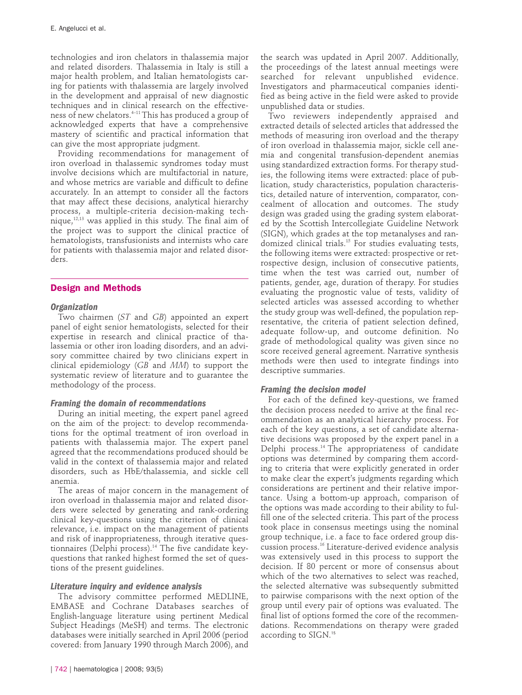technologies and iron chelators in thalassemia major and related disorders. Thalassemia in Italy is still a major health problem, and Italian hematologists caring for patients with thalassemia are largely involved in the development and appraisal of new diagnostic techniques and in clinical research on the effectiveness of new chelators.4–11This has produced a group of acknowledged experts that have a comprehensive mastery of scientific and practical information that can give the most appropriate judgment.

Providing recommendations for management of iron overload in thalassemic syndromes today must involve decisions which are multifactorial in nature, and whose metrics are variable and difficult to define accurately. In an attempt to consider all the factors that may affect these decisions, analytical hierarchy process, a multiple-criteria decision-making technique, $12,13$  was applied in this study. The final aim of the project was to support the clinical practice of hematologists, transfusionists and internists who care for patients with thalassemia major and related disorders.

# **Design and Methods**

#### *Organization*

Two chairmen (*ST* and *GB*) appointed an expert panel of eight senior hematologists, selected for their expertise in research and clinical practice of thalassemia or other iron loading disorders, and an advisory committee chaired by two clinicians expert in clinical epidemiology (*GB* and *MM*) to support the systematic review of literature and to guarantee the methodology of the process.

#### *Framing the domain of recommendations*

During an initial meeting, the expert panel agreed on the aim of the project: to develop recommendations for the optimal treatment of iron overload in patients with thalassemia major. The expert panel agreed that the recommendations produced should be valid in the context of thalassemia major and related disorders, such as HbE/thalassemia, and sickle cell anemia.

The areas of major concern in the management of iron overload in thalassemia major and related disorders were selected by generating and rank-ordering clinical key-questions using the criterion of clinical relevance, i.e. impact on the management of patients and risk of inappropriateness, through iterative questionnaires (Delphi process).<sup>14</sup> The five candidate keyquestions that ranked highest formed the set of questions of the present guidelines.

#### *Literature inquiry and evidence analysis*

The advisory committee performed MEDLINE, EMBASE and Cochrane Databases searches of English-language literature using pertinent Medical Subject Headings (MeSH) and terms. The electronic databases were initially searched in April 2006 (period covered: from January 1990 through March 2006), and

the search was updated in April 2007. Additionally, the proceedings of the latest annual meetings were searched for relevant unpublished evidence. Investigators and pharmaceutical companies identified as being active in the field were asked to provide unpublished data or studies.

Two reviewers independently appraised and extracted details of selected articles that addressed the methods of measuring iron overload and the therapy of iron overload in thalassemia major, sickle cell anemia and congenital transfusion-dependent anemias using standardized extraction forms. For therapy studies, the following items were extracted: place of publication, study characteristics, population characteristics, detailed nature of intervention, comparator, concealment of allocation and outcomes. The study design was graded using the grading system elaborated by the Scottish Intercollegiate Guideline Network (SIGN), which grades at the top metanalyses and randomized clinical trials.15 For studies evaluating tests, the following items were extracted: prospective or retrospective design, inclusion of consecutive patients, time when the test was carried out, number of patients, gender, age, duration of therapy. For studies evaluating the prognostic value of tests, validity of selected articles was assessed according to whether the study group was well-defined, the population representative, the criteria of patient selection defined, adequate follow-up, and outcome definition. No grade of methodological quality was given since no score received general agreement. Narrative synthesis methods were then used to integrate findings into descriptive summaries.

#### *Framing the decision model*

For each of the defined key-questions, we framed the decision process needed to arrive at the final recommendation as an analytical hierarchy process. For each of the key questions, a set of candidate alternative decisions was proposed by the expert panel in a Delphi process.14 The appropriateness of candidate options was determined by comparing them according to criteria that were explicitly generated in order to make clear the expert's judgments regarding which considerations are pertinent and their relative importance. Using a bottom-up approach, comparison of the options was made according to their ability to fulfill one of the selected criteria. This part of the process took place in consensus meetings using the nominal group technique, i.e. a face to face ordered group discussion process.16 Literature-derived evidence analysis was extensively used in this process to support the decision. If 80 percent or more of consensus about which of the two alternatives to select was reached, the selected alternative was subsequently submitted to pairwise comparisons with the next option of the group until every pair of options was evaluated. The final list of options formed the core of the recommendations. Recommendations on therapy were graded according to SIGN.<sup>15</sup>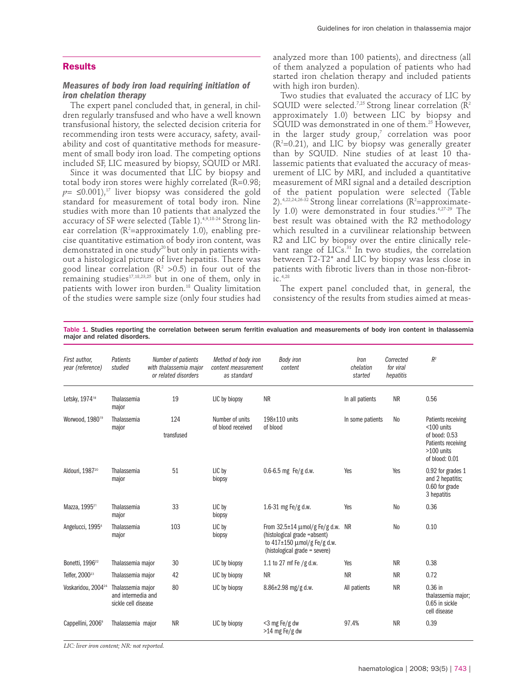### **Results**

## *Measures of body iron load requiring initiation of iron chelation therapy*

The expert panel concluded that, in general, in children regularly transfused and who have a well known transfusional history, the selected decision criteria for recommending iron tests were accuracy, safety, availability and cost of quantitative methods for measurement of small body iron load. The competing options included SF, LIC measured by biopsy, SQUID or MRI.

Since it was documented that LIC by biopsy and total body iron stores were highly correlated (R=0.98;  $p=$  ≤0.001),<sup>17</sup> liver biopsy was considered the gold standard for measurement of total body iron. Nine studies with more than 10 patients that analyzed the accuracy of SF were selected (Table 1).<sup>4,9,18-24</sup> Strong linear correlation ( $\mathsf{R}^2$ =approximately 1.0), enabling precise quantitative estimation of body iron content, was demonstrated in one study<sup>20</sup> but only in patients without a histological picture of liver hepatitis. There was good linear correlation ( $\mathbb{R}^2$  >0.5) in four out of the remaining studies<sup>17,18,23,25</sup> but in one of them, only in patients with lower iron burden.<sup>18</sup> Quality limitation of the studies were sample size (only four studies had analyzed more than 100 patients), and directness (all of them analyzed a population of patients who had started iron chelation therapy and included patients with high iron burden).

Two studies that evaluated the accuracy of LIC by SQUID were selected.<sup>7,25</sup> Strong linear correlation ( $\tilde{R}^2$ approximately 1.0) between LIC by biopsy and SQUID was demonstrated in one of them.25 However, in the larger study group,<sup>7</sup> correlation was poor  $(R^2=0.21)$ , and LIC by biopsy was generally greater than by SQUID. Nine studies of at least 10 thalassemic patients that evaluated the accuracy of measurement of LIC by MRI, and included a quantitative measurement of MRI signal and a detailed description of the patient population were selected (Table 2).<sup>4,22,24,26-32</sup> Strong linear correlations ( $R^2$ =approximately 1.0) were demonstrated in four studies.4,27-29 The best result was obtained with the R2 methodology which resulted in a curvilinear relationship between R2 and LIC by biopsy over the entire clinically relevant range of LICs.<sup>31</sup> In two studies, the correlation between T2-T2\* and LIC by biopsy was less close in patients with fibrotic livers than in those non-fibrot- $\int_{1}^{\infty}$  4,28

The expert panel concluded that, in general, the consistency of the results from studies aimed at meas-

| Table 1. Studies reporting the correlation between serum ferritin evaluation and measurements of body iron content in thalassemia |  |  |  |  |  |
|-----------------------------------------------------------------------------------------------------------------------------------|--|--|--|--|--|
| major and related disorders.                                                                                                      |  |  |  |  |  |

| First author.<br>year (reference) | Patients<br>studied                                            | Number of patients<br>with thalassemia major<br>or related disorders | Method of body iron<br>content measurement<br>as standard | <b>Body</b> iron<br>content                                                                                                                       | Iron<br>chelation<br>started | Corrected<br>for viral<br>hepatitis | R <sup>2</sup>                                                                                               |
|-----------------------------------|----------------------------------------------------------------|----------------------------------------------------------------------|-----------------------------------------------------------|---------------------------------------------------------------------------------------------------------------------------------------------------|------------------------------|-------------------------------------|--------------------------------------------------------------------------------------------------------------|
| Letsky, 1974 <sup>18</sup>        | Thalassemia<br>major                                           | 19                                                                   | LIC by biopsy                                             | <b>NR</b>                                                                                                                                         | In all patients              | <b>NR</b>                           | 0.56                                                                                                         |
| Worwood, 1980 <sup>19</sup>       | Thalassemia<br>major                                           | 124<br>transfused                                                    | Number of units<br>of blood received                      | $198\pm110$ units<br>of blood                                                                                                                     | In some patients             | N <sub>0</sub>                      | Patients receiving<br>$<$ 100 units<br>of bood: 0.53<br>Patients receiving<br>$>100$ units<br>of blood: 0.01 |
| Aldouri, 198720                   | Thalassemia<br>major                                           | 51                                                                   | LIC by<br>biopsy                                          | $0.6 - 6.5$ mg Fe/g d.w.                                                                                                                          | Yes                          | Yes                                 | 0.92 for grades 1<br>and 2 hepatitis;<br>0.60 for grade<br>3 hepatitis                                       |
| Mazza, 1995 <sup>21</sup>         | Thalassemia<br>major                                           | 33                                                                   | LIC by<br>biopsy                                          | 1.6-31 mg Fe/g d.w.                                                                                                                               | Yes                          | N <sub>0</sub>                      | 0.36                                                                                                         |
| Angelucci, 1995 <sup>4</sup>      | Thalassemia<br>major                                           | 103                                                                  | LIC by<br>biopsy                                          | From $32.5 \pm 14 \mu \text{mol/g}$ Fe/g d.w.<br>(histological grade =absent)<br>to $417\pm150$ umol/g Fe/g d.w.<br>(histological grade = severe) | <b>NR</b>                    | N <sub>0</sub>                      | 0.10                                                                                                         |
| Bonetti, 1996 <sup>22</sup>       | Thalassemia major                                              | 30                                                                   | LIC by biopsy                                             | 1.1 to 27 mf Fe /g d.w.                                                                                                                           | Yes                          | <b>NR</b>                           | 0.38                                                                                                         |
| Telfer, 2000 <sup>23</sup>        | Thalassemia major                                              | 42                                                                   | LIC by biopsy                                             | <b>NR</b>                                                                                                                                         | <b>NR</b>                    | <b>NR</b>                           | 0.72                                                                                                         |
| Voskaridou, 2004 <sup>24</sup>    | Thalassemia major<br>and intermedia and<br>sickle cell disease | 80                                                                   | LIC by biopsy                                             | 8.86±2.98 mg/g d.w.                                                                                                                               | All patients                 | <b>NR</b>                           | $0.36$ in<br>thalassemia major:<br>0.65 in sickle<br>cell disease                                            |
| Cappellini, 2006 <sup>9</sup>     | Thalassemia major                                              | <b>NR</b>                                                            | LIC by biopsy                                             | <3 mg Fe/g dw<br>$>14$ mg Fe/g dw                                                                                                                 | 97.4%                        | <b>NR</b>                           | 0.39                                                                                                         |

*LIC: liver iron content; NR: not reported.*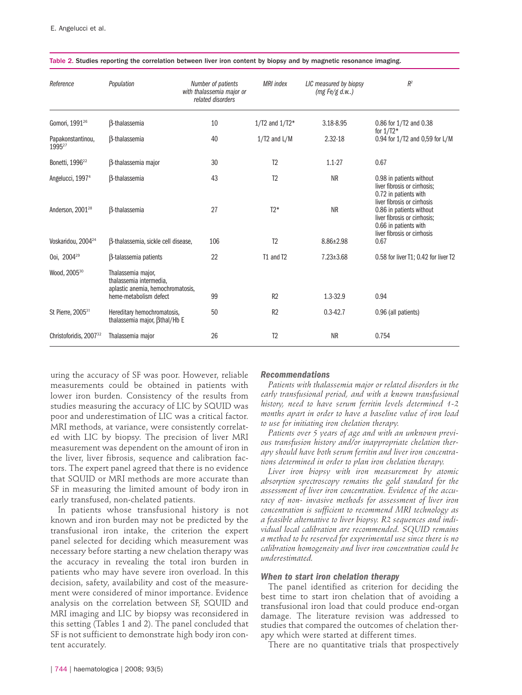| Reference                               | Population                                                                                                   | Number of patients<br>with thalassemia major or<br>related disorders | <b>MRI</b> index   | LIC measured by biopsy<br>(mg Fe/g d.w.) | $R^2$                                                                                                                                           |
|-----------------------------------------|--------------------------------------------------------------------------------------------------------------|----------------------------------------------------------------------|--------------------|------------------------------------------|-------------------------------------------------------------------------------------------------------------------------------------------------|
| Gomori, 1991 <sup>26</sup>              | <b>B-thalassemia</b>                                                                                         | 10                                                                   | $1/T2$ and $1/T2*$ | 3.18-8.95                                | 0.86 for 1/T2 and 0.38<br>for $1/T2*$                                                                                                           |
| Papakonstantinou,<br>1995 <sup>27</sup> | <b>B-thalassemia</b>                                                                                         | 40                                                                   | $1/T2$ and $L/M$   | 2.32-18                                  | 0.94 for 1/T2 and 0,59 for L/M                                                                                                                  |
| Bonetti, 1996 <sup>22</sup>             | B-thalassemia major                                                                                          | 30                                                                   | T <sub>2</sub>     | $1.1 - 27$                               | 0.67                                                                                                                                            |
| Angelucci, 1997 <sup>4</sup>            | <b>B-thalassemia</b>                                                                                         | 43                                                                   | T <sub>2</sub>     | <b>NR</b>                                | 0.98 in patients without<br>liver fibrosis or cirrhosis:<br>0.72 in patients with                                                               |
| Anderson, 2001 <sup>28</sup>            | <b>B-thalassemia</b>                                                                                         | 27                                                                   | $T2*$              | <b>NR</b>                                | liver fibrosis or cirrhosis<br>0.86 in patients without<br>liver fibrosis or cirrhosis:<br>0.66 in patients with<br>liver fibrosis or cirrhosis |
| Voskaridou, 2004 <sup>24</sup>          | B-thalassemia, sickle cell disease,                                                                          | 106                                                                  | T <sub>2</sub>     | $8.86 \pm 2.98$                          | 0.67                                                                                                                                            |
| Ooi, 2004 <sup>29</sup>                 | <b>B-talassemia patients</b>                                                                                 | 22                                                                   | T1 and T2          | $7.23 \pm 3.68$                          | 0.58 for liver T1; 0.42 for liver T2                                                                                                            |
| Wood, 2005 <sup>30</sup>                | Thalassemia major,<br>thalassemia intermedia.<br>aplastic anemia, hemochromatosis,<br>heme-metabolism defect | 99                                                                   | R2                 | 1.3-32.9                                 | 0.94                                                                                                                                            |
|                                         |                                                                                                              |                                                                      |                    |                                          |                                                                                                                                                 |
| St Pierre, 2005 <sup>31</sup>           | Hereditary hemochromatosis,<br>thalassemia major, Bthal/Hb E                                                 | 50                                                                   | R <sub>2</sub>     | $0.3 - 42.7$                             | 0.96 (all patients)                                                                                                                             |
| Christoforidis, 2007 <sup>32</sup>      | Thalassemia major                                                                                            | 26                                                                   | T <sub>2</sub>     | <b>NR</b>                                | 0.754                                                                                                                                           |

#### Table 2. Studies reporting the correlation between liver iron content by biopsy and by magnetic resonance imaging.

uring the accuracy of SF was poor. However, reliable measurements could be obtained in patients with lower iron burden. Consistency of the results from studies measuring the accuracy of LIC by SQUID was poor and underestimation of LIC was a critical factor. MRI methods, at variance, were consistently correlated with LIC by biopsy. The precision of liver MRI measurement was dependent on the amount of iron in the liver, liver fibrosis, sequence and calibration factors. The expert panel agreed that there is no evidence that SQUID or MRI methods are more accurate than SF in measuring the limited amount of body iron in early transfused, non-chelated patients.

In patients whose transfusional history is not known and iron burden may not be predicted by the transfusional iron intake, the criterion the expert panel selected for deciding which measurement was necessary before starting a new chelation therapy was the accuracy in revealing the total iron burden in patients who may have severe iron overload. In this decision, safety, availability and cost of the measurement were considered of minor importance. Evidence analysis on the correlation between SF, SQUID and MRI imaging and LIC by biopsy was reconsidered in this setting (Tables 1 and 2). The panel concluded that SF is not sufficient to demonstrate high body iron content accurately.

#### *Recommendations*

*Patients with thalassemia major or related disorders in the early transfusional period, and with a known transfusional history, need to have serum ferritin levels determined 1-2 months apart in order to have a baseline value of iron load to use for initiating iron chelation therapy.*

*Patients over 5 years of age and with an unknown previous transfusion history and/or inappropriate chelation therapy should have both serum ferritin and liver iron concentrations determined in order to plan iron chelation therapy.*

*Liver iron biopsy with iron measurement by atomic absorption spectroscopy remains the gold standard for the assessment of liver iron concentration. Evidence of the accuracy of non- invasive methods for assessment of liver iron concentration is sufficient to recommend MRI technology as a feasible alternative to liver biopsy. R2 sequences and individual local calibration are recommended. SQUID remains a method to be reserved for experimental use since there is no calibration homogeneity and liver iron concentration could be underestimated.*

#### *When to start iron chelation therapy*

The panel identified as criterion for deciding the best time to start iron chelation that of avoiding a transfusional iron load that could produce end-organ damage. The literature revision was addressed to studies that compared the outcomes of chelation therapy which were started at different times.

There are no quantitative trials that prospectively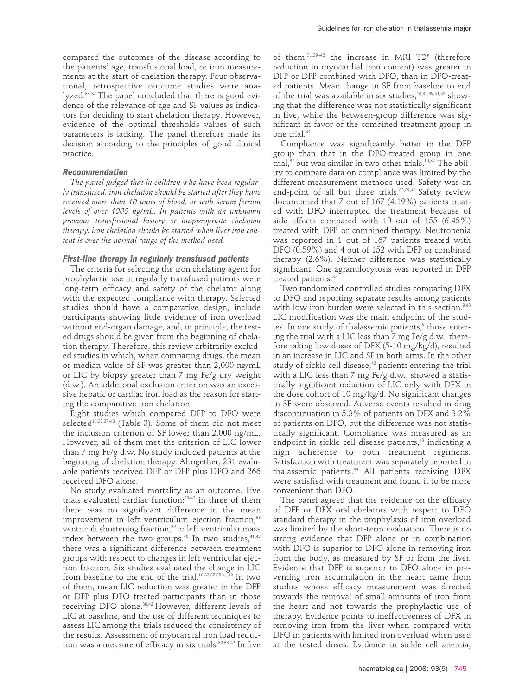compared the outcomes of the disease according to the patients' age, transfusional load, or iron measurements at the start of chelation therapy. Four observational, retrospective outcome studies were analyzed.33-37 The panel concluded that there is good evidence of the relevance of age and SF values as indicators for deciding to start chelation therapy. However, evidence of the optimal thresholds values of such parameters is lacking. The panel therefore made its decision according to the principles of good clinical practice.

# *Recommendation*

*The panel judged that in children who have been regularly transfused, iron chelation should be started after they have received more than 10 units of blood, or with serum ferritin levels of over 1000 ng/mL. In patients with an unknown previous transfusional history or inappropriate chelation therapy, iron chelation should be started when liver iron content is over the normal range of the method used.* 

## *First-line therapy in regularly transfused patients*

The criteria for selecting the iron chelating agent for prophylactic use in regularly transfused patients were long-term efficacy and safety of the chelator along with the expected compliance with therapy. Selected studies should have a comparative design, include participants showing little evidence of iron overload without end-organ damage, and, in principle, the tested drugs should be given from the beginning of chelation therapy. Therefore, this review arbitrarily excluded studies in which, when comparing drugs, the mean or median value of SF was greater than 2,000 ng/mL or LIC by biopsy greater than 7 mg Fe/g dry weight (d.w.). An additional exclusion criterion was an excessive hepatic or cardiac iron load as the reason for starting the comparative iron chelation.

Eight studies which compared DFP to DFO were selected<sup>10,32,37-43</sup> (Table 3). Some of them did not meet the inclusion criterion of SF lower than 2,000 ng/mL. However, all of them met the criterion of LIC lower than 7 mg Fe/g d.w. No study included patients at the beginning of chelation therapy. Altogether, 231 evaluable patients received DFP or DFP plus DFO and 266 received DFO alone.

No study evaluated mortality as an outcome. Five trials evaluated cardiac function:38-42 in three of them there was no significant difference in the mean improvement in left ventriculum ejection fraction,<sup>38</sup> ventriculi shortening fraction,<sup>39</sup> or left ventricular mass index between the two groups.<sup>40</sup> In two studies,  $41,42$ there was a significant difference between treatment groups with respect to changes in left ventricular ejection fraction. Six studies evaluated the change in LIC from baseline to the end of the trial.<sup>10,32,37,38,41,42</sup> In two of them, mean LIC reduction was greater in the DFP or DFP plus DFO treated participants than in those receiving DFO alone.38,42 However, different levels of LIC at baseline, and the use of different techniques to assess LIC among the trials reduced the consistency of the results. Assessment of myocardial iron load reduction was a measure of efficacy in six trials.<sup>32,38-42</sup> In five

of them, $31,39-42$  the increase in MRI T2\* (therefore reduction in myocardial iron content) was greater in DFP or DFP combined with DFO, than in DFO-treated patients. Mean change in SF from baseline to end of the trial was available in six studies,<sup>10,32,39,41,42</sup> showing that the difference was not statistically significant in five, while the between-group difference was significant in favor of the combined treatment group in one trial.42

Compliance was significantly better in the DFP group than that in the DFO-treated group in one trial, $37$  but was similar in two other trials.<sup>10,32</sup> The ability to compare data on compliance was limited by the different measurement methods used. Safety was an end-point of all but three trials.<sup>32,39,40</sup> Safety review documented that 7 out of 167 (4.19%) patients treated with DFO interrupted the treatment because of side effects compared with 10 out of 155 (6.45%) treated with DFP or combined therapy. Neutropenia was reported in 1 out of 167 patients treated with DFO (0.59%) and 4 out of 152 with DFP or combined therapy (2.6%). Neither difference was statistically significant. One agranulocytosis was reported in DFP treated patients.<sup>37</sup>

Two randomized controlled studies comparing DFX to DFO and reporting separate results among patients with low iron burden were selected in this section.<sup>9,43</sup> LIC modification was the main endpoint of the studies. In one study of thalassemic patients,<sup>9</sup> those entering the trial with a LIC less than 7 mg Fe/g d.w., therefore taking low doses of DFX (5-10 mg/kg/d), resulted in an increase in LIC and SF in both arms. In the other study of sickle cell disease,<sup>43</sup> patients entering the trial with a LIC less than 7 mg Fe/g d.w., showed a statistically significant reduction of LIC only with DFX in the dose cohort of 10 mg/kg/d. No significant changes in SF were observed. Adverse events resulted in drug discontinuation in 5.3% of patients on DFX and 3.2% of patients on DFO, but the difference was not statistically significant. Compliance was measured as an endpoint in sickle cell disease patients,<sup>43</sup> indicating a high adherence to both treatment regimens. Satisfaction with treatment was separately reported in thalassemic patients.<sup>44</sup> All patients receiving DFX were satisfied with treatment and found it to be more convenient than DFO.

The panel agreed that the evidence on the efficacy of DFP or DFX oral chelators with respect to DFO standard therapy in the prophylaxis of iron overload was limited by the short-term evaluation. There is no strong evidence that DFP alone or in combination with DFO is superior to DFO alone in removing iron from the body, as measured by SF or from the liver. Evidence that DFP is superior to DFO alone in preventing iron accumulation in the heart came from studies whose efficacy measurement was directed towards the removal of small amounts of iron from the heart and not towards the prophylactic use of therapy. Evidence points to ineffectiveness of DFX in removing iron from the liver when compared with DFO in patients with limited iron overload when used at the tested doses. Evidence in sickle cell anemia,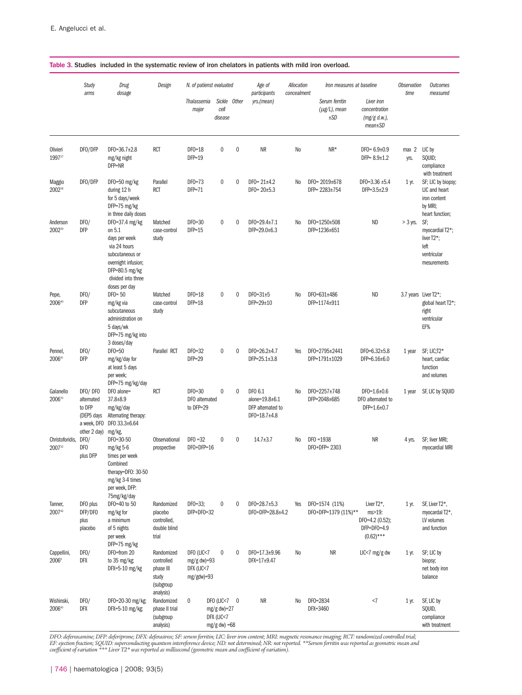|                                  | Study<br>arms                                                                | Drug<br>dosage                                                                                                                                                      | Design                                                                   | N. of patienst evaluated                                |                                                               |              | Age of<br>participants                                         | Allocation<br>concealment | Iron measures at baseline                  |                                                                        | <b>Observation</b><br>time | <b>Outcomes</b><br>measured                                                                                            |
|----------------------------------|------------------------------------------------------------------------------|---------------------------------------------------------------------------------------------------------------------------------------------------------------------|--------------------------------------------------------------------------|---------------------------------------------------------|---------------------------------------------------------------|--------------|----------------------------------------------------------------|---------------------------|--------------------------------------------|------------------------------------------------------------------------|----------------------------|------------------------------------------------------------------------------------------------------------------------|
|                                  |                                                                              |                                                                                                                                                                     |                                                                          | Thalassemia<br>major                                    | cell<br>disease                                               | Sickle Other | yrs.(mean)                                                     |                           | Serum ferritin<br>$(\mu$ g/L), mean<br>±SD | Liver iron<br>concentration<br>(mg/g d.w.),<br>$mean \pm SD$           |                            |                                                                                                                        |
| Olivieri<br>199737               | DFO/DFP                                                                      | $DF0 = 36.7 \pm 2.8$<br>mg/kg night<br>DFP=NR                                                                                                                       | <b>RCT</b>                                                               | $DFO=18$<br>$DFP=19$                                    | 0                                                             | $\mathbf 0$  | <b>NR</b>                                                      | No                        | NR*                                        | $DF0 = 6.9 \pm 0.9$<br>$DFP = 8.9 \pm 1.2$                             | max <sub>2</sub><br>yrs.   | LIC by<br>SQUID;<br>compliance<br>with treatment                                                                       |
| Maggio<br>200238                 | DFO/DFP                                                                      | DF0=50 mg/kg<br>during 12 h<br>for 5 days/week<br>DFP=75 mg/kg                                                                                                      | Parallel<br><b>RCT</b>                                                   | $DFO=73$<br>$DFP=71$                                    | 0                                                             | $\mathbf{0}$ | $DF0 = 21 \pm 4.2$<br>$DF0 = 20 \pm 5.3$                       | N <sub>0</sub>            | DF0= 2019±678<br>DFP= 2283±754             | DF0=3.36 ±5.4<br>$DFP = 3.5 \pm 2.9$                                   | $1$ yr.                    | SF; LIC by biopsy;<br>LIC and heart<br>iron content<br>by MRI;                                                         |
| Anderson<br>2002 <sup>39</sup>   | DFO/<br><b>DFP</b>                                                           | in three daily doses<br>DF0=37.4 mg/kg<br>on 5.1<br>days per week<br>via 24 hours<br>subcutaneous or<br>overnight infusion;<br>DFP=80.5 mg/kg<br>divided into three | Matched<br>case-control<br>study                                         | $DFO=30$<br>$DFP=15$                                    | $\mathbf 0$                                                   | $\mathbf 0$  | $DF0 = 29.4 \pm 7.1$<br>$DFP = 29.0 \pm 6.3$                   | N <sub>0</sub>            | DF0=1250±508<br>DFP=1236±651               | <b>ND</b>                                                              | $>$ 3 yrs.                 | heart function;<br>SF;<br>myocardial T2*;<br>liver T <sub>2</sub> <sup>*</sup> ;<br>left<br>ventricular<br>mesurements |
| Pepe,<br>200640                  | DFO/<br><b>DFP</b>                                                           | doses per day<br>$DFO = 50$<br>mg/kg via<br>subcutaneous<br>administration on<br>5 days/wk<br>DFP=75 mg/kg into                                                     | Matched<br>case-control<br>study                                         | $DFO=18$<br>$DFP=18$                                    | 0                                                             | $\mathbf{0}$ | $DFO=31\pm5$<br>$DFP = 29 \pm 10$                              | No                        | DF0=631±486<br>DFP=1174±911                | <b>ND</b>                                                              |                            | 3.7 years Liver T2*;<br>global heart T2*;<br>right<br>ventricular<br>EF%                                               |
| Pennel,<br>200641                | DFO/<br><b>DFP</b>                                                           | 3 doses/day<br>DF0=50<br>mg/kg/day for<br>at least 5 days<br>per week;<br>DFP=75 mg/kg/day                                                                          | Parallel RCT                                                             | $DF0=32$<br>$DFP = 29$                                  | 0                                                             | 0            | DF0=26.2±4.7<br>DFP=25.1±3.8                                   | Yes                       | DF0=2795±2441<br>DFP=1791±1029             | $DF0=6.32\pm5.8$<br>$DFP = 6.16 \pm 6.0$                               | 1 year                     | SF; LIC;T2*<br>heart, cardiac<br>function<br>and volumes                                                               |
| Galanello<br>200610              | DFO/DFO<br>alternated<br>to DFP<br>(DEP5 days<br>a week, DFO<br>other 2 day) | DFO alone=<br>$37.8 \pm 8.9$<br>mg/kg/day<br>Alternating therapy:<br>DF0 33.3±6.64<br>mg/kg,                                                                        | <b>RCT</b>                                                               | $DFO=30$<br>DFO alternated<br>to DFP=29                 | $\mathbf{0}$                                                  | $\theta$     | DFO 6.1<br>alone=19.8±6.1<br>DFP alternated to<br>DF0=18.7±4.8 | No                        | DF0=2257±748<br>DFP=2048±685               | $DF0=1.6\pm0.6$<br>DFO alternated to<br>$DFP = 1.6 \pm 0.7$            | 1 year                     | SF, LIC by SQUID                                                                                                       |
| Christoforidis,<br>200732        | DFO/<br>DF <sub>0</sub><br>plus DFP                                          | DF0=30-50<br>mg/kg 5-6<br>times per week<br>Combined<br>therapy=DF0: 30-50<br>mg/kg 3-4 times<br>per week, DFP:<br>75mg/kg/day                                      | Observational<br>prospective                                             | $DFO = 32$<br>DF0+DFP=16                                | $\mathbf{0}$                                                  | $\mathbf 0$  | $14.7 \pm 3.7$                                                 | N <sub>0</sub>            | $DFO = 1938$<br>DF0+DFP= 2303              | <b>NR</b>                                                              | 4 yrs.                     | SF; liver MRI;<br>myocardial MRI                                                                                       |
| Tanner,<br>200742                | DFO plus<br>DFP/DFO<br>plus<br>placebo                                       | DF0=40 to 50<br>mg/kg for<br>a minimum<br>of 5 nights<br>per week                                                                                                   | Randomized<br>placebo<br>controlled,<br>double blind<br>trial            | DF0=33;<br>DFP+DF0=32                                   | $\bf{0}$                                                      | $\mathbf 0$  | DF0=28.7±5.3<br>DF0+DFP=28.8±4.2                               | Yes                       | DF0=1574 (11%)<br>DF0+DFP=1379 (11%)**     | Liver T2*,<br>ms>19:<br>DF0=4.2 (0.52);<br>DFP+DF0=4.9<br>$(0.62)$ *** | 1 yr.                      | SF, Liver T2*,<br>myocardal T2*,<br>LV volumes<br>and function                                                         |
| Cappellini,<br>2006 <sup>9</sup> | DFO/<br>DFX                                                                  | DFP=75 mg/kg<br>DFO=from 20<br>to 35 mg/kg;<br>DFX=5-10 mg/kg                                                                                                       | Randomized<br>controlled<br>phase III<br>study<br>(subgroup<br>analysis) | DFO (LIC<7<br>$mg/g$ dw)=93<br>DFX (LIC<7<br>mg/gdw)=93 | $\pmb{0}$                                                     | $\mathbf 0$  | DF0=17.3±9.96<br>$DFX = 17 \pm 9.47$                           | No                        | NR                                         | LIC<7 mg/g dw                                                          | 1 yr.                      | SF; LIC by<br>biopsy;<br>net body iron<br>balance                                                                      |
| Wishinski,<br>200643             | DFO/<br><b>DFX</b>                                                           | DF0=20-30 mg/kg;<br>DFX=5-10 mg/kg;                                                                                                                                 | Randomized<br>phase II trial<br>(subgroup<br>analysis)                   | $\pmb{0}$                                               | DFO (LIC<7 0<br>$mg/g$ dw)=27<br>DFX (LIC<7<br>$mg/g$ dw) =68 |              | <b>NR</b>                                                      | No                        | DF0=2834<br>DFX=3460                       | <7                                                                     | 1 yr.                      | SF, LIC by<br>SQUID,<br>compliance<br>with treatment                                                                   |

#### Table 3. Studies included in the systematic review of iron chelators in patients with mild iron overload.

DFO: deferoxamine; DFP: deferiprone; DFX: deferasirox; SF: serum ferritin; LIC: liver iron content; MRI: magnetic resonance imaging; RCT: randomized controlled trial;<br>EF: ejection fraction; SQUID: superconducting quantum i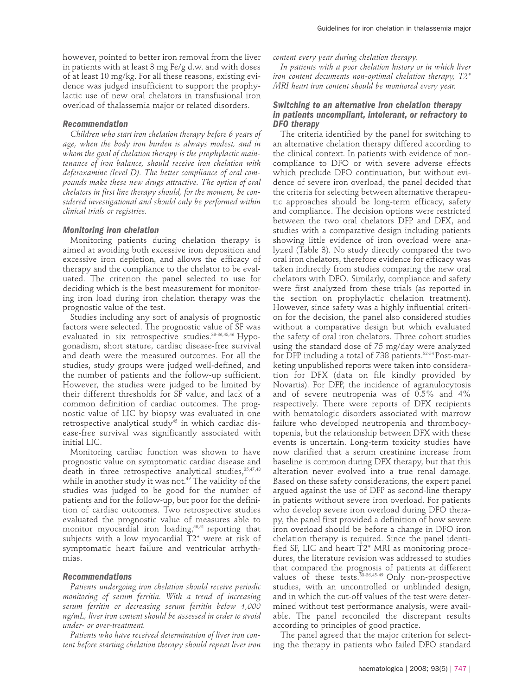however, pointed to better iron removal from the liver in patients with at least 3 mg Fe/g d.w. and with doses of at least 10 mg/kg. For all these reasons, existing evidence was judged insufficient to support the prophylactic use of new oral chelators in transfusional iron overload of thalassemia major or related disorders.

#### *Recommendation*

*Children who start iron chelation therapy before 6 years of age, when the body iron burden is always modest, and in whom the goal of chelation therapy is the prophylactic maintenance of iron balance, should receive iron chelation with deferoxamine (level D). The better compliance of oral compounds make these new drugs attractive. The option of oral chelators in first line therapy should, for the moment, be considered investigational and should only be performed within clinical trials or registries.*

#### *Monitoring iron chelation*

Monitoring patients during chelation therapy is aimed at avoiding both excessive iron deposition and excessive iron depletion, and allows the efficacy of therapy and the compliance to the chelator to be evaluated. The criterion the panel selected to use for deciding which is the best measurement for monitoring iron load during iron chelation therapy was the prognostic value of the test.

Studies including any sort of analysis of prognostic factors were selected. The prognostic value of SF was evaluated in six retrospective studies.<sup>33-36,45,46</sup> Hypogonadism, short stature, cardiac disease-free survival and death were the measured outcomes. For all the studies, study groups were judged well-defined, and the number of patients and the follow-up sufficient. However, the studies were judged to be limited by their different thresholds for SF value, and lack of a common definition of cardiac outcomes. The prognostic value of LIC by biopsy was evaluated in one retrospective analytical study<sup>45</sup> in which cardiac disease-free survival was significantly associated with initial LIC.

Monitoring cardiac function was shown to have prognostic value on symptomatic cardiac disease and death in three retrospective analytical studies, 35,47,48 while in another study it was not.<sup>49</sup> The validity of the studies was judged to be good for the number of patients and for the follow-up, but poor for the definition of cardiac outcomes. Two retrospective studies evaluated the prognostic value of measures able to monitor myocardial iron loading, $50,51$  reporting that subjects with a low myocardial T2\* were at risk of symptomatic heart failure and ventricular arrhythmias.

#### *Recommendations*

*Patients undergoing iron chelation should receive periodic monitoring of serum ferritin. With a trend of increasing serum ferritin or decreasing serum ferritin below 1,000 ng/mL, liver iron content should be assessed in order to avoid under- or over-treatment.* 

*Patients who have received determination of liver iron content before starting chelation therapy should repeat liver iron* *content every year during chelation therapy.*

*In patients with a poor chelation history or in which liver iron content documents non-optimal chelation therapy, T2\* MRI heart iron content should be monitored every year.* 

#### *Switching to an alternative iron chelation therapy in patients uncompliant, intolerant, or refractory to DFO therapy*

The criteria identified by the panel for switching to an alternative chelation therapy differed according to the clinical context. In patients with evidence of noncompliance to DFO or with severe adverse effects which preclude DFO continuation, but without evidence of severe iron overload, the panel decided that the criteria for selecting between alternative therapeutic approaches should be long-term efficacy, safety and compliance. The decision options were restricted between the two oral chelators DFP and DFX, and studies with a comparative design including patients showing little evidence of iron overload were analyzed (Table 3). No study directly compared the two oral iron chelators, therefore evidence for efficacy was taken indirectly from studies comparing the new oral chelators with DFO. Similarly, compliance and safety were first analyzed from these trials (as reported in the section on prophylactic chelation treatment). However, since safety was a highly influential criterion for the decision, the panel also considered studies without a comparative design but which evaluated the safety of oral iron chelators. Three cohort studies using the standard dose of 75 mg/day were analyzed for DFP including a total of 738 patients.<sup>52-54</sup> Post-marketing unpublished reports were taken into consideration for DFX (data on file kindly provided by Novartis). For DFP, the incidence of agranulocytosis and of severe neutropenia was of 0.5% and 4% respectively. There were reports of DFX recipients with hematologic disorders associated with marrow failure who developed neutropenia and thrombocytopenia, but the relationship between DFX with these events is uncertain. Long-term toxicity studies have now clarified that a serum creatinine increase from baseline is common during DFX therapy, but that this alteration never evolved into a true renal damage. Based on these safety considerations, the expert panel argued against the use of DFP as second-line therapy in patients without severe iron overload. For patients who develop severe iron overload during DFO therapy, the panel first provided a definition of how severe iron overload should be before a change in DFO iron chelation therapy is required. Since the panel identified SF, LIC and heart T2\* MRI as monitoring procedures, the literature revision was addressed to studies that compared the prognosis of patients at different values of these tests.<sup>33-36,45-49</sup> Only non-prospective studies, with an uncontrolled or unblinded design, and in which the cut-off values of the test were determined without test performance analysis, were available. The panel reconciled the discrepant results according to principles of good practice.

The panel agreed that the major criterion for selecting the therapy in patients who failed DFO standard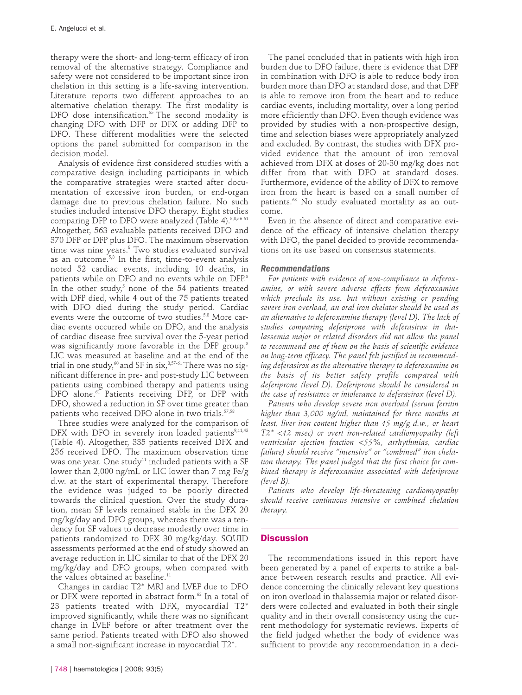therapy were the short- and long-term efficacy of iron removal of the alternative strategy. Compliance and safety were not considered to be important since iron chelation in this setting is a life-saving intervention. Literature reports two different approaches to an alternative chelation therapy. The first modality is DFO dose intensification. $55$  The second modality is changing DFO with DFP or DFX or adding DFP to DFO. These different modalities were the selected options the panel submitted for comparison in the decision model.

Analysis of evidence first considered studies with a comparative design including participants in which the comparative strategies were started after documentation of excessive iron burden, or end-organ damage due to previous chelation failure. No such studies included intensive DFO therapy. Eight studies comparing DFP to DFO were analyzed (Table 4).<sup>5,8,56-61</sup> Altogether, 563 evaluable patients received DFO and 370 DFP or DFP plus DFO. The maximum observation time was nine years.<sup>8</sup> Two studies evaluated survival as an outcome.<sup>5,8</sup> In the first, time-to-event analysis noted 52 cardiac events, including 10 deaths, in patients while on DFO and no events while on DFP.<sup>8</sup> In the other study, $5$  none of the 54 patients treated with DFP died, while 4 out of the 75 patients treated with DFO died during the study period. Cardiac events were the outcome of two studies.<sup>5,8</sup> More cardiac events occurred while on DFO, and the analysis of cardiac disease free survival over the 5-year period was significantly more favorable in the DFP group.<sup>8</sup> LIC was measured at baseline and at the end of the trial in one study,<sup>60</sup> and SF in six,<sup>8,57-61</sup> There was no significant difference in pre- and post-study LIC between patients using combined therapy and patients using DFO alone.<sup>61</sup> Patients receiving DFP, or DFP with DFO, showed a reduction in SF over time greater than patients who received DFO alone in two trials.<sup>57,58</sup>

Three studies were analyzed for the comparison of DFX with DFO in severely iron loaded patients<sup>9,11,43</sup> (Table 4). Altogether, 335 patients received DFX and 256 received DFO. The maximum observation time was one year. One study<sup>11</sup> included patients with a SF lower than 2,000 ng/mL or LIC lower than 7 mg Fe/g d.w. at the start of experimental therapy. Therefore the evidence was judged to be poorly directed towards the clinical question. Over the study duration, mean SF levels remained stable in the DFX 20 mg/kg/day and DFO groups, whereas there was a tendency for SF values to decrease modestly over time in patients randomized to DFX 30 mg/kg/day. SQUID assessments performed at the end of study showed an average reduction in LIC similar to that of the DFX 20 mg/kg/day and DFO groups, when compared with the values obtained at baseline.<sup>11</sup>

Changes in cardiac T2\* MRI and LVEF due to DFO or DFX were reported in abstract form.<sup>62</sup> In a total of 23 patients treated with DFX, myocardial T2\* improved significantly, while there was no significant change in LVEF before or after treatment over the same period. Patients treated with DFO also showed a small non-significant increase in myocardial T2\*.

The panel concluded that in patients with high iron burden due to DFO failure, there is evidence that DFP in combination with DFO is able to reduce body iron burden more than DFO at standard dose, and that DFP is able to remove iron from the heart and to reduce cardiac events, including mortality, over a long period more efficiently than DFO. Even though evidence was provided by studies with a non-prospective design, time and selection biases were appropriately analyzed and excluded. By contrast, the studies with DFX provided evidence that the amount of iron removal achieved from DFX at doses of 20-30 mg/kg does not differ from that with DFO at standard doses. Furthermore, evidence of the ability of DFX to remove iron from the heart is based on a small number of patients.<sup>63</sup> No study evaluated mortality as an outcome.

Even in the absence of direct and comparative evidence of the efficacy of intensive chelation therapy with DFO, the panel decided to provide recommendations on its use based on consensus statements.

#### *Recommendations*

*For patients with evidence of non-compliance to deferoxamine, or with severe adverse effects from deferoxamine which preclude its use, but without existing or pending severe iron overload, an oral iron chelator should be used as an alternative to deferoxamine therapy (level D). The lack of studies comparing deferiprone with deferasirox in thalassemia major or related disorders did not allow the panel to recommend one of them on the basis of scientific evidence on long-term efficacy. The panel felt justified in recommending deferasirox as the alternative therapy to deferoxamine on the basis of its better safety profile compared with deferiprone (level D). Deferiprone should be considered in the case of resistance or intolerance to deferasirox (level D).*

*Patients who develop severe iron overload (serum ferritin higher than 3,000 ng/mL maintained for three months at least, liver iron content higher than 15 mg/g d.w., or heart T2\* <12 msec) or overt iron-related cardiomyopathy (left ventricular ejection fraction <55%, arrhythmias, cardiac failure) should receive "intensive" or "combined" iron chelation therapy. The panel judged that the first choice for combined therapy is deferoxamine associated with deferiprone (level B).* 

*Patients who develop life-threatening cardiomyopathy should receive continuous intensive or combined chelation therapy.*

# **Discussion**

The recommendations issued in this report have been generated by a panel of experts to strike a balance between research results and practice. All evidence concerning the clinically relevant key questions on iron overload in thalassemia major or related disorders were collected and evaluated in both their single quality and in their overall consistency using the current methodology for systematic reviews. Experts of the field judged whether the body of evidence was sufficient to provide any recommendation in a deci-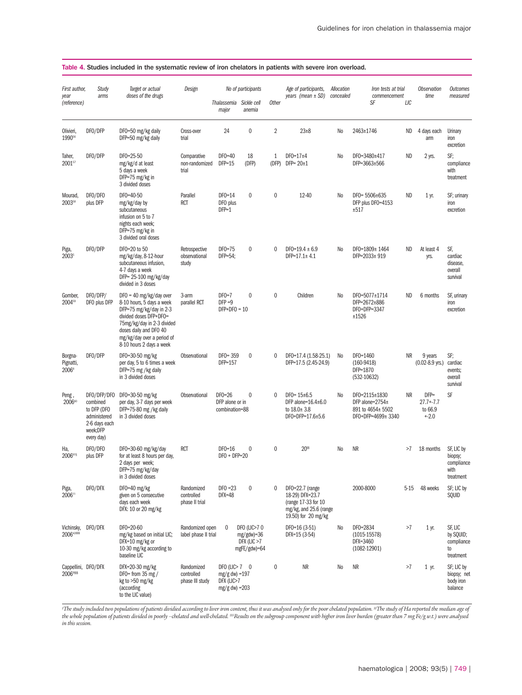| First author,<br>year<br>(reference)      | Study<br>arms                                                                                     | Target or actual<br>doses of the drugs                                                                                                                                                                                        | Design                                      | Thalassemia                                                                 | No of participants<br>Sickle cell                            | <b>Other</b>   | Age of participants,<br>years (mean $\pm$ SD)                                                                 | Allocation<br>concealed | Iron tests at trial<br>commencement<br>SF                                        | LIC       | <b>Observation</b><br>time                   | <b>Outcomes</b><br>measured                              |
|-------------------------------------------|---------------------------------------------------------------------------------------------------|-------------------------------------------------------------------------------------------------------------------------------------------------------------------------------------------------------------------------------|---------------------------------------------|-----------------------------------------------------------------------------|--------------------------------------------------------------|----------------|---------------------------------------------------------------------------------------------------------------|-------------------------|----------------------------------------------------------------------------------|-----------|----------------------------------------------|----------------------------------------------------------|
|                                           |                                                                                                   |                                                                                                                                                                                                                               |                                             | major                                                                       | anemia                                                       |                |                                                                                                               |                         |                                                                                  |           |                                              |                                                          |
| Olivieri,<br>1990 <sup>56</sup>           | DFO/DFP                                                                                           | DF0=50 mg/kg daily<br>DFP=50 mg/kg daily                                                                                                                                                                                      | Cross-over<br>trial                         | 24                                                                          | $\mathbf 0$                                                  | $\overline{2}$ | $23 + 8$                                                                                                      | N <sub>0</sub>          | 2463±1746                                                                        | ND        | 4 days each<br>arm                           | Urinary<br>iron<br>excretion                             |
| Taher,<br>200157                          | DFO/DFP                                                                                           | $DFO = 25 - 50$<br>mg/kg/d at least<br>5 days a week<br>DFP=75 mg/kg in<br>3 divided doses                                                                                                                                    | Comparative<br>non-randomized<br>trial      | $DFO=40$<br>$DFP=15$                                                        | 18<br>(DFP)                                                  | 1<br>(DFP)     | $DF0 = 17 \pm 4$<br>$DFP = 20 \pm 1$                                                                          | N <sub>0</sub>          | DF0=3480±417<br>DFP=3663±566                                                     | ND        | 2 yrs.                                       | SF:<br>compliance<br>with<br>treatment                   |
| Mourad,<br>200358                         | DFO/DFO<br>plus DFP                                                                               | DF0=40-50<br>mg/kg/day by<br>subcutaneous<br>infusion on 5 to 7<br>nights each week;<br>DFP=75 mg/kg in<br>3 divided oral doses                                                                                               | Parallel<br><b>RCT</b>                      | $DFO=14$<br>DFO plus<br>$DFP=1$                                             | $\mathbf{0}$                                                 | $\pmb{0}$      | 12-40                                                                                                         | N <sub>0</sub>          | $DF0 = 5506 \pm 635$<br>DFP plus DF0=4153<br>±517                                | ND        | 1 yr.                                        | SF; urinary<br>iron<br>excretion                         |
| Piga,<br>20035                            | DFO/DFP                                                                                           | DF0=20 to 50<br>mg/kg/day, 8-12-hour<br>subcutaneous infusion,<br>4-7 days a week<br>DFP= 25-100 mg/kg/day<br>divided in 3 doses                                                                                              | Retrospective<br>observational<br>study     | $DFO=75$<br>DFP=54;                                                         | $\mathbf 0$                                                  | $\theta$       | $DF0=19.4 \pm 6.9$<br>$DFP=17.1 \pm 4.1$                                                                      | N <sub>0</sub>          | DF0=1809± 1464<br>DFP=2033± 919                                                  | <b>ND</b> | At least 4<br>yrs.                           | SF,<br>cardiac<br>disease,<br>overall<br>survival        |
| Gomber,<br>2004 <sup>59</sup>             | DFO/DFP/<br>DFO plus DFP                                                                          | $DF0 = 40$ mg/kg/day over<br>8-10 hours, 5 days a week<br>DFP=75 mg/kg/day in 2-3<br>divided doses DFP+DF0=<br>75mg/kg/day in 2-3 divided<br>doses daily and DFO 40<br>mg/kg/day over a period of<br>8-10 hours 2 days a week | 3-arm<br>parallel RCT                       | $DFO=7$<br>$DFP = 9$<br>$DFP+DFO = 10$                                      | $\mathbf{0}$                                                 | $\mathbf 0$    | Children                                                                                                      | N <sub>0</sub>          | DF0=5077±1714<br>DFP=2672±886<br>DF0+DFP=3347<br>±1526                           | <b>ND</b> | 6 months                                     | SF, urinary<br>iron<br>excretion                         |
| Borgna-<br>Pignatti,<br>2006 <sup>8</sup> | DFO/DFP                                                                                           | DF0=30-50 mg/kg<br>per day, 5 to 6 times a week<br>DFP=75 mg /kg daily<br>in 3 divided doses                                                                                                                                  | <b>Observational</b>                        | $DFO = 359$<br>DFP=157                                                      | $\mathbf{0}$                                                 | 0              | DF0=17.4 (1.58-25.1)<br>DFP=17.5 (2.45-24.9)                                                                  | No                      | DF0=1460<br>$(160-9418)$<br>DFP=1870<br>$(532-10632)$                            | <b>NR</b> | 9 years<br>$(0.02 - 8.9$ yrs.)               | SF:<br>cardiac<br>events;<br>overall<br>survival         |
| Peng,<br>200660                           | DFO/DFP/DFO<br>combined<br>to DFP (DFO<br>administered<br>2-6 days each<br>week;DFP<br>every day) | DF0=30-50 mg/kg<br>per day, 3-7 days per week<br>DFP=75-80 mg /kg daily<br>in 3 divided doses                                                                                                                                 | Observational                               | $DFO=26$<br>DFP alone or in<br>combination=88                               | $\mathbf{0}$                                                 | $\theta$       | $DF0 = 15 \pm 6.5$<br>DFP alone= $16.4\pm6.0$<br>to $18.0 \pm 3.8$<br>$DFO+DFP=17.6\pm5.6$                    | N <sub>0</sub>          | DF0=2115±1830<br>DFP alone= $2754\pm$<br>891 to 4654± 5502<br>DF0+DFP=4699± 3340 | <b>NR</b> | $DFP =$<br>$27.7 - 7.7$<br>to 66.9<br>$+.20$ | SF                                                       |
| Ha,<br>2006618                            | DFO/DFO<br>plus DFP                                                                               | DF0=30-60 mg/kg/day<br>for at least 8 hours per day,<br>2 days per week;<br>DFP=75 mg/kg/day<br>in 3 divided doses                                                                                                            | <b>RCT</b>                                  | $DFO=16$<br>$DFO + DFP = 20$                                                | $\mathbf{0}$                                                 | $\mathbf{0}$   | 20 \$                                                                                                         | No                      | ΝR                                                                               | >7        | 18 months                                    | SF, LIC by<br>biopsy;<br>compliance<br>with<br>treatment |
| Piga,<br>200611                           | DFO/DFX                                                                                           | DF0=40 mg/kg<br>given on 5 consecutive<br>days each week<br>DFX: 10 or 20 mg/kg                                                                                                                                               | Randomized<br>controlled<br>phase II trial  | $DFO = 23$<br><b>DFX=48</b>                                                 | $\mathbf{0}$                                                 | 0              | $DFO=22.7$ (range<br>18-29) DFX=23.7<br>(range 17-33 for 10)<br>mg/kg, and 25.6 (range<br>19.50) for 20 mg/kg |                         | 2000-8000                                                                        | $5 - 15$  | 48 weeks                                     | SF; LIC by<br>SQUID                                      |
| Vichinsky,<br>200643555                   | DFO/DFX                                                                                           | DF0=20-60<br>mg/kg based on initial LIC;<br>DFX=10 mg/kg or<br>10-30 mg/kg according to<br>baseline LIC                                                                                                                       | Randomized open<br>label phase II trial     | 0                                                                           | DFO (LIC>70<br>$mg/gdw$ =36<br>DFX (LIC $>7$<br>mgFE/gdw)=64 |                | DF0=16 (3-51)<br>DFX=15 (3-54)                                                                                | No                      | DF0=2834<br>$(1015-15578)$<br>DFX=3460<br>$(1082 - 12901)$                       | >7        | 1 yr.                                        | SF, LIC<br>by SQUID;<br>compliance<br>to<br>treatment    |
| Cappellini, DFO/DFX<br>20069555           |                                                                                                   | DFX=20-30 mg/kg<br>DF0= from $35$ mg /<br>kg to >50 mg/kg<br>(according<br>to the LIC value)                                                                                                                                  | Randomized<br>controlled<br>phase III study | DFO (LIC> $7 \quad 0$<br>mg/g dw) = $197$<br>DFX (LIC>7<br>$mg/g$ dw) = 203 |                                                              | 0              | NR                                                                                                            | No                      | ΝR                                                                               | >7        | 1 yr.                                        | SF; LIC by<br>biopsy; net<br>body iron<br>balance        |

#### Table 4. Studies included in the systematic review of iron chelators in patients with severe iron overload.

*§ The study included two populations of patients dividied according to liver iron content, thus it was analysed only for the poor chelated population. §§The study of Ha reported the median age of the whole population of patients divided in poorly –chelated and well-chelated. §§§Results on the subgroup component with higher iron liver burden (greater than 7 mg Fe/g w.t.) were analysed in this session.*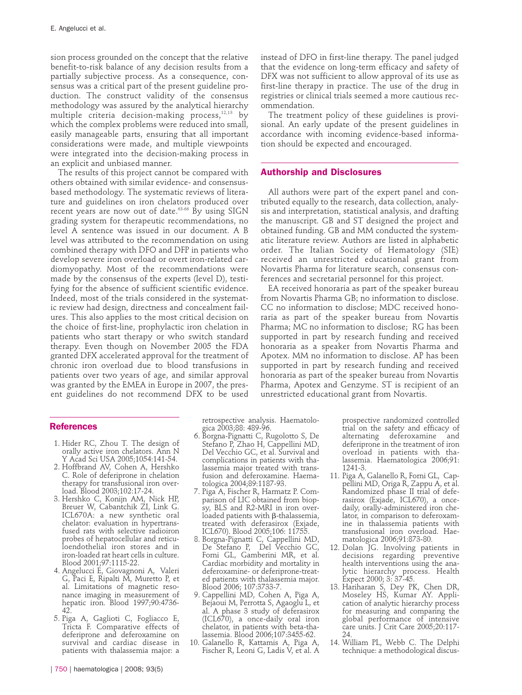sion process grounded on the concept that the relative benefit-to-risk balance of any decision results from a partially subjective process. As a consequence, consensus was a critical part of the present guideline production. The construct validity of the consensus methodology was assured by the analytical hierarchy multiple criteria decision-making process, $12,13$  by which the complex problems were reduced into small, easily manageable parts, ensuring that all important considerations were made, and multiple viewpoints were integrated into the decision-making process in an explicit and unbiased manner.

The results of this project cannot be compared with others obtained with similar evidence- and consensusbased methodology. The systematic reviews of literature and guidelines on iron chelators produced over recent years are now out of date.<sup>63-66</sup> By using SIGN grading system for therapeutic recommendations, no level A sentence was issued in our document. A B level was attributed to the recommendation on using combined therapy with DFO and DFP in patients who develop severe iron overload or overt iron-related cardiomyopathy. Most of the recommendations were made by the consensus of the experts (level D), testifying for the absence of sufficient scientific evidence. Indeed, most of the trials considered in the systematic review had design, directness and concealment failures. This also applies to the most critical decision on the choice of first-line, prophylactic iron chelation in patients who start therapy or who switch standard therapy. Even though on November 2005 the FDA granted DFX accelerated approval for the treatment of chronic iron overload due to blood transfusions in patients over two years of age, and similar approval was granted by the EMEA in Europe in 2007, the present guidelines do not recommend DFX to be used

# **References**

- 1. Hider RC, Zhou T. The design of orally active iron chelators. Ann N Y Acad Sci USA 2005;1054:141-54.
- 2. Hoffbrand AV, Cohen A, Hershko C. Role of deferiprone in chelation therapy for transfusional iron overload. Blood 2003;102:17-24.
- 3. Hershko C, Konijn AM, Nick HP, Breuer W, Cabantchik ZI, Link G. ICL670A: a new synthetic oral chelator: evaluation in hypertransfused rats with selective radioiron probes of hepatocellular and reticuloendothelial iron stores and in iron-loaded rat heart cells in culture. Blood 2001;97:1115-22.
- 4. Angelucci E, Giovagnoni A, Valeri G, Paci E, Ripalti M, Muretto P, et al. Limitations of magnetic resonance imaging in measurement of hepatic iron. Blood 1997;90:4736- 42.
- 5. Piga A, Gaglioti C, Fogliacco E, Tricta F. Comparative effects of deferiprone and deferoxamine on survival and cardiac disease in patients with thalassemia major: a

retrospective analysis. Haematologica 2003;88: 489-96.

- 6. Borgna-Pignatti C, Rugolotto S, De Stefano P, Zhao H, Cappellini MD, Del Vecchio GC, et al. Survival and complications in patients with thalassemia major treated with transfusion and deferoxamine. Haematologica 2004;89:1187-93.
- 7. Piga A, Fischer R, Harmatz P. Comparison of LIC obtained from biopsy, BLS and R2-MRI in iron overloaded patients with  $\beta$ -thalassemia, treated with deferasirox (Exjade, ICL670). Blood 2005;106: 11755.
- 8. Borgna-Pignatti C, Cappellini MD, De Stefano P, Del Vecchio GC, Forni GL, Gamberini MR, et al. Cardiac morbidity and mortality in deferoxamine- or deferiprone-treated patients with thalassemia major. Blood 2006; 107:3733-7.
- 9. Cappellini MD, Cohen A, Piga A, Bejaoui M, Perrotta S, Agaoglu L, et al. A phase 3 study of deferasirox (ICL670), a once-daily oral iron chelator, in patients with beta-thalassemia. Blood 2006;107:3455-62.
- 10. Galanello R, Kattamis A, Piga A, Fischer R, Leoni G, Ladis V, et al. A

instead of DFO in first-line therapy. The panel judged that the evidence on long-term efficacy and safety of DFX was not sufficient to allow approval of its use as first-line therapy in practice. The use of the drug in registries or clinical trials seemed a more cautious recommendation.

The treatment policy of these guidelines is provisional. An early update of the present guidelines in accordance with incoming evidence-based information should be expected and encouraged.

# **Authorship and Disclosures**

All authors were part of the expert panel and contributed equally to the research, data collection, analysis and interpretation, statistical analysis, and drafting the manuscript. GB and ST designed the project and obtained funding. GB and MM conducted the systematic literature review. Authors are listed in alphabetic order. The Italian Society of Hematology (SIE) received an unrestricted educational grant from Novartis Pharma for literature search, consensus conferences and secretarial personnel for this project.

EA received honoraria as part of the speaker bureau from Novartis Pharma GB; no information to disclose. CC no information to disclose; MDC received honoraria as part of the speaker bureau from Novartis Pharma; MC no information to disclose; RG has been supported in part by research funding and received honoraria as a speaker from Novartis Pharma and Apotex. MM no information to disclose. AP has been supported in part by research funding and received honoraria as part of the speaker bureau from Novartis Pharma, Apotex and Genzyme. ST is recipient of an unrestricted educational grant from Novartis.

> prospective randomized controlled trial on the safety and efficacy of alternating deferoxamine and deferiprone in the treatment of iron overload in patients with thalassemia. Haematologica 2006;91: 1241-3.

- 11. Piga A, Galanello R, Forni GL, Cappellini MD, Origa R, Zappu A, et al. Randomized phase II trial of deferasirox (Exjade, ICL670), a oncedaily, orally-administered iron chelator, in comparison to deferoxamine in thalassemia patients with transfusional iron overload. Haematologica 2006;91:873-80.
- 12. Dolan JG. Involving patients in decisions regarding preventive health interventions using the analytic hierarchy process. Health Expect 2000; 3: 37-45.
- 13. Hariharan S, Dey PK, Chen DR, Moseley HS, Kumar AY. Application of analytic hierarchy process for measuring and comparing the global performance of intensive care units. J Crit Care 2005;20:117- 24.
- 14. William PL, Webb C. The Delphi technique: a methodological discus-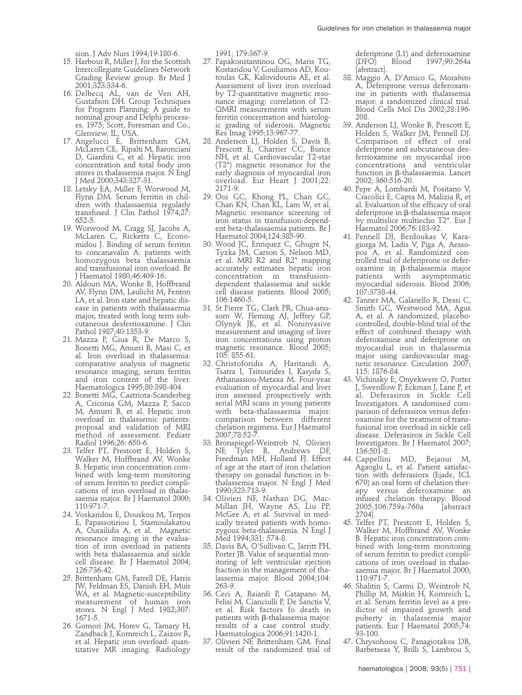sion. J Adv Nurs 1994;19:180-6.

- 15. Harbour R, Miller J, for the Scottish Intercollegiate Guidelines Network Grading Review group. Br Med J 2001;323:334-6.
- 16. Delbecq AL, van de Ven AH, Gustafson DH. Group Techniques for Program Planning: A guide to nominal group and Delphi processes. 1975; Scott, Foresman and Co., Glenview, IL, USA.
- 17. Angelucci E, Brittenham GM, McLaren CE, Ripalti M, Baronciani D, Giardini C, et al. Hepatic iron concentration and total body iron stores in thalassemia major. N Engl Med 2000;343:327-31.
- 18. Letsky EA, Miller F, Worwood M, Flynn DM. Serum ferritin in children with thalassaemia regularly transfused. J Clin Pathol 1974;27: 652-5.
- 19. Worwood M, Cragg SJ, Jacobs A, McLaren C, Ricketts C, Economidou J. Binding of serum ferritin to concanavalin A: patients with homozygous beta thalassaemia and transfusional iron overload. Br J Haematol 1980;46:409-16.
- 20. Aldouri MA, Wonke B, Hoffbrand AV, Flynn DM, Laulicht M, Fenton LA, et al. Iron state and hepatic disease in patients with thalassaemia major, treated with long term subcutaneous desferrioxamine. J Clin Pathol 1987;40:1353-9.
- 21. Mazza P, Giua R, De Marco S, Bonetti MG, Amurri B, Masi C, et al. Iron overload in thalassemia: comparative analysis of magnetic resonance imaging, serum ferritin and iron content of the liver. Haematologica 1995;80:398-404.
- 22. Bonetti MG, Castriota-Scanderbeg A, Criconia GM, Mazza P, Sacco M, Amurri B, et al. Hepatic iron overload in thalassemic patients: proposal and validation of MRI method of assessment. Pediatr Radiol 1996;26: 650-6.
- 23. Telfer PT, Prestcott E, Holden S, Walker M, Hoffbrand AV, Wonke B. Hepatic iron concentration combined with long-term monitoring of serum ferritin to predict complications of iron overload in thalassaemia major. Br J Haematol 2000; 110:971-7.
- 24. Voskaridou E, Douskou M, Terpos E, Papassotiriou I, Stamoulakatou A, Ourailidis A, et al. Magnetic resonance imaging in the evaluation of iron overload in patients with beta thalassaemia and sickle cell disease. Br J Haematol 2004; 126:736-42.
- 25. Brittenham GM, Farrell DE, Harris JW, Feldman ES, Danish EH, Muir WA, et al. Magnetic-susceptibility measurement of human iron stores. N Engl J Med 1982;307: 1671-5.
- 26. Gomori JM, Horev G, Tamary H, Zandback J, Kornreich L, Zaizov R, et al. Hepatic iron overload: quantitative MR imaging. Radiology

1991; 179:367-9.

- 27. Papakonstantinou OG, Maris TG, Kostaridou V, Gouliamos AD, Koutoulas GK, Kalovidouris AE, et al. Assessment of liver iron overload by T2-quantitative magnetic resonance imaging: correlation of T2- QMRI measurements with serum ferritin concentration and histologic grading of siderosis. Magnetic Res Imag 1995;13:967-77.
- 28. Anderson LJ, Holden S, Davis B, Prescott E, Charrier CC, Bunce NH, et al. Cardiovascular T2-star (T2\*) magnetic resonance for the early diagnosis of myocardial iron overload. Eur Heart J 2001;22: 2171-9.
- 29. Ooi GC, Khong PL, Chan GC, Chan KN, Chan KL, Lam W, et al. Magnetic resonance screening of iron status in transfusion-dependent beta-thalassaemia patients. Br J Haematol 2004;124:385-90.
- 30. Wood JC, Enriquez C, Ghugre N, Tyzka JM, Carson S, Nelson MD, et al. MRI R2 and R2<sup>\*</sup> mapping accurately estimates hepatic iron concentration in transfusiondependent thalassemia and sickle cell disease patients. Blood 2005; 106:1460-5.
- 31. St Pierre TG, Clark PR, Chua-anusorn W, Fleming AJ, Jeffrey GP, Olynyk JK, et al. Noninvasive measurement and imaging of liver iron concentrations using proton magnetic resonance. Blood 2005; 105: 855-61.
- 32. Christoforidis A, Haritandi A, Tsatra I, Tsitourides I, Karyda S, Athanassiou-Metaxa M. Four-year evaluation of myocardial and liver iron assessed prospectively with serial MRI scans in young patients with beta-thalassaemia major: comparison between different chelation regimens. Eur J Haematol 2007;78:52-
- 33. Bronspiegel-Weintrob N, Olivieri NF, Tyler B, Andrews DF, Freedman MH, Holland FJ. Effect of age at the start of iron chelation therapy on gonadal function in bthalassemia major. N Engl J Med 1990;323:713-9.
- 34. Olivieri NF, Nathan DG, Mac-Millan JH, Wayne AS, Liu PP, McGee A, et al. Survival in medically treated patients with homozygous beta-thalassemia. N Engl J Med 1994;331: 574-8.
- 35. Davis BA, O'Sullivan C, Jarritt PH, Porter JB. Value of sequential monitoring of left ventricular ejection fraction in the management of thalassemia major. Blood 2004;104: 263-9.
- 36. Ceci A, Baiardi P, Catapano M, Felisi M, Cianciulli P, De Sanctis V, et al. Risk factors fo death in patients with  $\beta$ -thalassemia major: results of a case control study. Haematologica 2006;91:1420-1.
- 37. Olivieri NF, Brittenham GM. Final result of the randomized trial of

deferiprone (L1) and deferoxamine<br>(DFO) Blood 1997:90:264a 1997;90:264a [abstract].

- 38. Maggio A, D'Amico G, Morabito A, Deferiprone versus deferoxamine in patients with thalassemia major: a randomized clinical trial. Blood Cells Mol Dis 2002;28:196- 208.
- 39. Anderson LJ, Wonke B, Prescott E, Holden S, Walker JM, Pennell DJ. Comparison of effect of oral deferiprone and subcutaneous desferrioxamine on myocardial iron concentrations and ventricular function in b-thalassaemia. Lancet 2002; 360:516-20.
- 40. Pepe A, Lombardi M, Positano V, Cracolici E, Capra M, Malizia R, et al. Evaluation of the efficacy of oral deferiprone in  $\beta$ -thalassemia major by multislice multiecho T2\*. Eur J Haematol 2006;76:183-92.
- 41. Pennell DJ, Berdoukas V, Karagiorga M, Ladis V, Piga A, Aessopos A, et al. Randomized controlled trial of deferiprone or deferoxamine in b-thalassemia major patients with asymptomatic myocardial siderosis. Blood 2006; 107:3738-44.
- 42. Tanner MA, Galanello R, Dessi C, Smith GC, Westwood MA, Agus A, et al. A randomized, placebocontrolled, double-blind trial of the effect of combined therapy with deferoxamine and deferiprone on myocardial iron in thalassemia major using cardiovascular magnetic resonance. Circulation 2007; 115: 1876-84.
- 43. Vichinsky E, Onyekwere O, Porter J, Swerdlow P, Eckman J, Lane P, et al. Deferasirox in Sickle Cell Investigators. A randomised comparison of deferasirox versus deferoxamine for the treatment of transfusional iron overload in sickle cell disease. Deferasirox in Sickle Cell Investigators. Br J Haematol 2007; 136:501-8.
- 44. Cappellini MD, Bejaoui M, Agaoglu L, et al. Patient satisfaction with deferasiorx (Ejade, ICL 670) an oral form of chelation therapy versus deferoxamine an infused chelation therapy. Blood<br>2005;106:759a-760a [abstract 2005;106:759a-760a 2704].
- 45. Telfer PT, Prestcott E, Holden S, Walker M, Hoffbrand AV, Wonke B. Hepatic iron concentration combined with long-term monitoring of serum ferritin to predict complications of iron overload in thalassaemia major. Br J Haematol 2000; 110:971-7.
- 46. Shalitin S, Carmi D, Weintrob N, Phillip M, Miskin H, Kornreich L, et al. Serum ferritin level as a predictor of impaired growth and puberty in thalassemia major patients. Eur J Haematol 2005;74: 93-100.
- 47. Chrysohoou C, Panagiotakos DB, Barbetseas Y, Brilli S, Lambrou S,